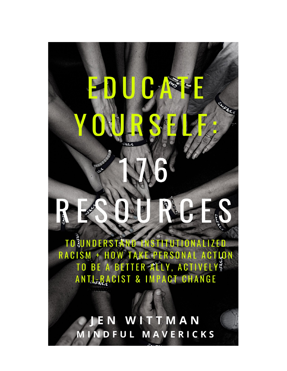TO SUNDERSTAND INSTITUTIONA **IZED TO BE A BETTER ATELY, ACTIVELY ENDINENT ACTIVE A BETTER ATELY** RACISM + HOW TAKE PERSO ANTLE BACIST & IMPACT CHANGE

**Report** 

Q

MRISIS

EN WITTMAN INDFUL MAVERICKS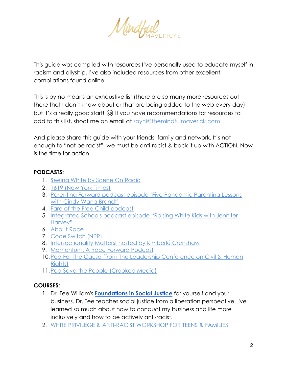Mindful

This guide was compiled with resources I've personally used to educate myself in racism and allyship. I've also included resources from other excellent compilations found online.

This is by no means an exhaustive list (there are so many more resources out there that I don't know about or that are being added to the web every day) but it's a really good start!  $\odot$  If you have recommendations for resources to add to this list, shoot me an email at [sayhi@themindfulmaverick.com.](mailto:sayhi@themindfulmaverick.com)

And please share this guide with your friends, family and network. It's not enough to "not be racist", we must be anti-racist & back it up with ACTION. Now is the time for action.

## **PODCASTS:**

- 1. [Seeing White by Scene On Radio](http://www.sceneonradio.org/seeing-white/)
- 2. [1619 \(New York Times\)](https://www.google.com/url?q=https://www.google.com/url?q%3Dhttps://www.nytimes.com/2020/01/23/podcasts/1619-podcast.html%26amp;sa%3DD%26amp;ust%3D1591393824597000&sa=D&ust=1591393824640000&usg=AFQjCNFs8w3V3c6fAb41FlULxa_cuml-3g)
- 3. [Parenting Forward podcast episode 'Five Pandemic Parenting Lessons](https://www.google.com/url?q=https://www.google.com/url?q%3Dhttps://podcasts.apple.com/us/podcast/parenting-forward/id1403686245?i%253D1000474951309%26amp;sa%3DD%26amp;ust%3D1591393824590000&sa=D&ust=1591393824637000&usg=AFQjCNGpLwojb7itbTV-cPvskZfkgqM96A)  [with Cindy Wang Brandt'](https://www.google.com/url?q=https://www.google.com/url?q%3Dhttps://podcasts.apple.com/us/podcast/parenting-forward/id1403686245?i%253D1000474951309%26amp;sa%3DD%26amp;ust%3D1591393824590000&sa=D&ust=1591393824637000&usg=AFQjCNGpLwojb7itbTV-cPvskZfkgqM96A)
- 4. [Fare of the Free Child podcast](https://www.google.com/url?q=https://www.google.com/url?q%3Dhttps://www.raisingfreepeople.com/podcast/%26amp;sa%3DD%26amp;ust%3D1591393824590000&sa=D&ust=1591393824637000&usg=AFQjCNE_EqFq0WeF9CWmLzZYhDG4m5u-dA)
- 5. [Integrated Schools podcast episode "Raising White Kids with Jennifer](https://www.google.com/url?q=https://www.google.com/url?q%3Dhttps://integratedschools.simplecast.com/episodes/harvey%26amp;sa%3DD%26amp;ust%3D1591393824590000&sa=D&ust=1591393824637000&usg=AFQjCNHVtPTZWaaq9DpMFWJ84qVTaYxaug)  [Harvey"](https://www.google.com/url?q=https://www.google.com/url?q%3Dhttps://integratedschools.simplecast.com/episodes/harvey%26amp;sa%3DD%26amp;ust%3D1591393824590000&sa=D&ust=1591393824637000&usg=AFQjCNHVtPTZWaaq9DpMFWJ84qVTaYxaug)
- 6. [About Race](https://www.google.com/url?q=https://www.google.com/url?q%3Dhttps://www.showaboutrace.com/%26amp;sa%3DD%26amp;ust%3D1591393824597000&sa=D&ust=1591393824640000&usg=AFQjCNGJf_Sa-HtYf6hJl1rLevgJZ5p1qg)
- 7. [Code Switch \(NPR\)](https://www.google.com/url?q=https://www.google.com/url?q%3Dhttps://www.npr.org/sections/codeswitch/%26amp;sa%3DD%26amp;ust%3D1591393824597000&sa=D&ust=1591393824640000&usg=AFQjCNFyIAVYOFgtDj09mynavhRMk2z1zQ)
- 8. [Intersectionality Matters! hosted by Kimberlé Crenshaw](https://www.google.com/url?q=https://www.google.com/url?q%3Dhttps://podcasts.apple.com/us/podcast/intersectionality-matters/id1441348908%26amp;sa%3DD%26amp;ust%3D1591393824598000&sa=D&ust=1591393824640000&usg=AFQjCNHrFIv7o1y0rQwmbJwdxE-WVyWzFg)
- 9. [Momentum: A Race Forward Podcast](https://www.google.com/url?q=https://www.google.com/url?q%3Dhttps://www.raceforward.org/media/podcast/momentum-race-forward-podcast%26amp;sa%3DD%26amp;ust%3D1591393824598000&sa=D&ust=1591393824640000&usg=AFQjCNGy3oGIWYO1mx0Fw6TQqGkaowBQ3g)
- 10. Pod For The Cause (from The Leadership Conference on Civil & Human [Rights\)](https://www.google.com/url?q=https://www.google.com/url?q%3Dhttps://civilrights.org/podforthecause/%26amp;sa%3DD%26amp;ust%3D1591393824598000&sa=D&ust=1591393824640000&usg=AFQjCNEAP9hehgDu8rnA9R_nwe0cSOX9EQ)
- 11[.Pod Save the People \(Crooked Media\)](https://www.google.com/url?q=https://www.google.com/url?q%3Dhttps://crooked.com/podcast-series/pod-save-the-people/%26amp;sa%3DD%26amp;ust%3D1591393824598000&sa=D&ust=1591393824640000&usg=AFQjCNGD2jloo3dahqbwrZOIzvFwQG7JMw)

# **COURSES:**

- 1. Dr. Tee William's **[Foundations in Social Justice](https://imdrtee.com/foundations-self-paced/)** for yourself and your business. Dr. Tee teaches social justice from a liberation perspective. I've learned so much about how to conduct my business and life more inclusively and how to be actively anti-racist.
- 2. [WHITE PRIVILEGE & ANTI-RACIST WORKSHOP FOR TEENS & FAMILIES](https://extremeteenleaders.corsizio.com/c/5ed55e9718eb20f01a22a938)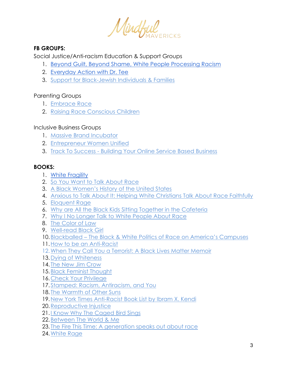

## **FB GROUPS:**

Social Justice/Anti-racism Education & Support Groups

- 1. [Beyond Guilt, Beyond Shame, White People Processing Racism](https://www.facebook.com/groups/BeyondGuilt/)
- 2. [Everyday Action with Dr. Tee](https://www.facebook.com/groups/everydayaction/)
- 3. [Support for Black-Jewish Individuals & Families](https://www.facebook.com/bechollashon/)

## Parenting Groups

- 1. [Embrace Race](https://www.facebook.com/weembracerace/)
- 2. [Raising Race Conscious Children](https://www.facebook.com/raceconscious/)

## Inclusive Business Groups

- 1. [Massive Brand Incubator](https://www.facebook.com/groups/MassiveBrandIncubator/?multi_permalinks=4235388739812359¬if_id=1591370187125694¬if_t=group_activity)
- 2. [Entrepreneur Women Unified](https://www.facebook.com/groups/entrepreneurwomenunified/?multi_permalinks=1906887802780816&comment_id=1906892032780393¬if_id=1591035038570164¬if_t=feedback_reaction_generic)
- 3. Track To Success [Building Your Online Service Based Business](https://www.facebook.com/groups/tracktosuccess/699084560911616/?comment_id=700823777404361¬if_id=1591283612254798¬if_t=group_comment_follow)

## **BOOKS:**

- 1. White [Fragility](https://amzn.to/2AIkoC0)
- 2. [So You Want to Talk About Race](https://amzn.to/30eEa2y)
- 3. A [Black Women's History of the United States](https://www.amazon.com/Womens-History-United-ReVisioning-American/dp/0807033553/ref=sr_1_1?crid=14K1AWKY0DSNU&dchild=1&keywords=a+black+women%27s+history+of+the+united+states&qid=1591399674&sprefix=a+black+%2Caps%2C244&sr=8-1)
- 4. [Anxious to Talk About It: Helping White Christians Talk About Race Faithfully](https://amzn.to/2XCIYx5)
- 5. [Eloquent Rage](https://amzn.to/2MAHMno)
- 6. [Why are All the Black Kids Sitting Together in the Cafeteria](https://amzn.to/2Y16cvI)
- 7. [Why I No Longer Talk to White People About Race](https://amzn.to/2MyGBVE)
- 8. [The Color of Law](https://amzn.to/2AF06Js)
- 9. [Well-read Black Girl](https://amzn.to/2A9QVka)
- 10.Blackballed [The Black & White Politics of Race on America's Campuses](https://amzn.to/3eS454a)
- 11[.How to be an Anti-Racist](https://amzn.to/2Ufv9SY)
- 12[.When They Call You a Terrorist: A Black Lives Matter Memoir](https://amzn.to/2A5NCut)
- 13[.Dying of Whiteness](https://amzn.to/30g07OG)
- 14. [The New Jim Crow](https://amzn.to/2MzCA3q)
- 15[.Black Feminist Thought](https://amzn.to/2Mxreg7)
- 16[.Check Your Privilege](https://amzn.to/3dP0jIw)
- 17[.Stamped: Racism, Antiracism, and You](https://amzn.to/2Y1r0TQ)
- 18. [The Warmth of Other Suns](https://amzn.to/2Mxv4G3)
- 19[.New York Times Anti-Racist Book List by](https://www.nytimes.com/2019/05/29/books/review/antiracist-reading-list-ibram-x-kendi.html) Ibram X. Kendi
- 20[.Reproductive Injustice](https://amzn.to/2Mvu9WE)
- 21.I [Know Why The Caged Bird Sings](https://amzn.to/2Y4ux3V)
- 22[.Between The World & Me](https://amzn.to/3czJno5)
- 23. [The Fire This Time: A generation speaks out about race](https://amzn.to/2zXf0ef)
- 24[.White Rage](https://amzn.to/379amGa)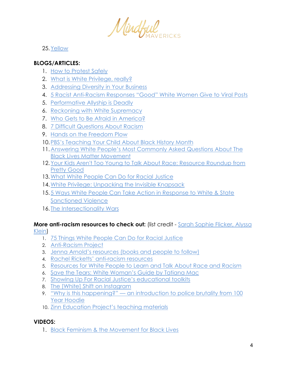Mindful

25[.Yellow](https://amzn.to/3eVXtSw)

## **BLOGS/ARTICLES:**

- 1. [How to Protest Safely](https://www.wired.com/story/how-to-protest-safely-gear-tips/?utm_source=pocket-newtab)
- 2. [What is White Privilege, really?](https://www.tolerance.org/magazine/fall-2018/what-is-white-privilege-really)
- 3. [Addressing Diversity in Your Business](https://mindfulmavericksmagazine.com/issue-13-dr-tee-williams-5-diversity-mistakes-to-avoid-social-justice-education-inclusion-anti-racism/)
- 4. [5 Racist Anti-Racism Responses "Good" White Women Give to Viral Posts](https://www.katykatikate.com/the-blog/2020/5/26/5-racist-anti-racism-responses-good-white-women-give-to-viral-posts)
- 5. [Performative Allyship is Deadly](https://forge.medium.com/performative-allyship-is-deadly-c900645d9f1f)
- 6. [Reckoning with White Supremacy](https://www.scalawagmagazine.org/2020/06/understanding-white-supremacy-protests/?utm_source=pocket-newtab)
- 7. [Who Gets to Be Afraid in America?](https://www.theatlantic.com/ideas/archive/2020/05/ahmaud-arbery/611539/)
- 8. 7 [Difficult Questions About Racism](https://www.scarymommy.com/you-asked-i-answered-7-difficult-questions-about-racism/)
- 9. [Hands on the Freedom Plow](https://amzn.to/3dGgJTy)
- 10[.PBS's Teaching Your Child About Black History Month](https://www.google.com/url?q=https://www.google.com/url?q%3Dhttps://www.pbs.org/parents/thrive/teaching-your-child-about-black-history-month%26amp;sa%3DD%26amp;ust%3D1591393824591000&sa=D&ust=1591393824637000&usg=AFQjCNGXuzhOjilOn6zgCJ7veVzD6iGhUw)
- 11[.Answering White People's Most Commonly Asked Questions About The](https://thebolditalic.com/where-do-i-donate-why-is-the-uprising-violent-should-i-go-protest-5cefeac37ef9)  [Black Lives Matter Movement](https://thebolditalic.com/where-do-i-donate-why-is-the-uprising-violent-should-i-go-protest-5cefeac37ef9)
- 12[.Your Kids Aren't Too Young to Talk About Race: Resource Roundup from](https://www.google.com/url?q=https://www.google.com/url?q%3Dhttps://www.prettygooddesign.org/blog/Blog%252520Post%252520Title%252520One-5new4%26amp;sa%3DD%26amp;ust%3D1591393824591000&sa=D&ust=1591393824637000&usg=AFQjCNHtZIZVYkGjF3tEXDwYazJNH7BnZQ)  [Pretty Good](https://www.google.com/url?q=https://www.google.com/url?q%3Dhttps://www.prettygooddesign.org/blog/Blog%252520Post%252520Title%252520One-5new4%26amp;sa%3DD%26amp;ust%3D1591393824591000&sa=D&ust=1591393824637000&usg=AFQjCNHtZIZVYkGjF3tEXDwYazJNH7BnZQ)
- 13.What White People Can Do for Racial Justice
- 14[.White Privilege: Unpacking the Invisible Knapsack](https://convention.myacpa.org/houston2018/wp-content/uploads/2017/11/UnpackingTheKnapsack.pdf)
- 15[.5 Ways White People Can Take Action in Response to](mailto:1.%09https://medium.com/@surj_action/5-ways-white-people-can-take-action-in-response-to-white-and-state-sanctioned-violence-2bb907ba5277) White & State [Sanctioned Violence](mailto:1.%09https://medium.com/@surj_action/5-ways-white-people-can-take-action-in-response-to-white-and-state-sanctioned-violence-2bb907ba5277)
- 16. [The Intersectionality Wars](https://www.vox.com/the-highlight/2019/5/20/18542843/intersectionality-conservatism-law-race-gender-discrimination)

#### **More anti-racism resources to check out:** (list credit - Sarah Sophie Flicker, Alyssa [Klein\)](https://docs.google.com/document/d/1BRlF2_zhNe86SGgHa6-VlBO-QgirITwCTugSfKie5Fs/mobilebasic)

- 1. [75 Things White People Can Do for Racial Justice](https://www.google.com/url?q=https://www.google.com/url?q%3Dhttps://medium.com/equality-includes-you/what-white-people-can-do-for-racial-justice-f2d18b0e0234%26amp;sa%3DD%26amp;ust%3D1591393824621000&sa=D&ust=1591393824647000&usg=AFQjCNGbaQSiqKpk9O7RYq2QVJtdcxIglA)
- 2. [Anti-Racism Project](https://www.google.com/url?q=https://www.google.com/url?q%3Dhttps://www.antiracismproject.org/resources%26amp;sa%3DD%26amp;ust%3D1591393824622000&sa=D&ust=1591393824647000&usg=AFQjCNGo9GwXHzvTUo-uj4_MpdTfakwOWQ)
- 3. [Jenna Arnold's resources \(books and people to follow\)](https://www.google.com/url?q=https://www.google.com/url?q%3Dhttps://www.jennaarnold.com/resources%26amp;sa%3DD%26amp;ust%3D1591393824622000&sa=D&ust=1591393824647000&usg=AFQjCNH2A4kkT_5Am8W5F1K0x-6LuAJ86g)
- 4. [Rachel Ricketts' anti-racism resources](https://www.google.com/url?q=https://www.google.com/url?q%3Dhttps://www.rachelricketts.com/antiracism-resources%26amp;sa%3DD%26amp;ust%3D1591393824622000&sa=D&ust=1591393824648000&usg=AFQjCNFaaSlb6MV6wRX4CmLlx5_aZHUWmA)
- 5. [Resources for White People to Learn and Talk About Race and Racism](https://www.google.com/url?q=https://www.google.com/url?q%3Dhttps://blog.fracturedatlas.org/resources-for-white-people-to-learn-and-talk-about-race-and-racism-5b207fff4fc7%26amp;sa%3DD%26amp;ust%3D1591393824623000&sa=D&ust=1591393824648000&usg=AFQjCNE5IV115WyzxJFWCWuwy8B5MPIqhw)
- 6. [Save the Tears: White Woman's Guide by Tatiana Mac](https://www.google.com/url?q=https://www.google.com/url?q%3Dhttps://tatianamac.com/posts/save-the-tears/%26amp;sa%3DD%26amp;ust%3D1591393824623000&sa=D&ust=1591393824648000&usg=AFQjCNHt1odJ_0ZIlOyONQirexWDXtuexw)
- 7. [Showing Up For Racial Justice's educational toolkits](https://www.google.com/url?q=https://www.google.com/url?q%3Dhttps://www.showingupforracialjustice.org/resources.html%26amp;sa%3DD%26amp;ust%3D1591393824623000&sa=D&ust=1591393824648000&usg=AFQjCNFK_lAcgaqO5jrqdccfmEkKWckdWQ)
- 8. [The \[White\] Shift on Instagram](https://www.google.com/url?q=https://www.google.com/url?q%3Dhttps://www.instagram.com/thewhiteshift/%26amp;sa%3DD%26amp;ust%3D1591393824624000&sa=D&ust=1591393824648000&usg=AFQjCNGgRRml3zkcUAWWRtAnVMIJOqhA4w)
- 9. "Why is this happening?" [an introduction to police brutality from 100](https://www.google.com/url?q=https://www.google.com/url?q%3Dhttps://www.100yearhoodie.com/why%26amp;sa%3DD%26amp;ust%3D1591393824624000&sa=D&ust=1591393824648000&usg=AFQjCNF9cdnh0m9_o_uwhaTD4eEPef22zA)  [Year Hoodie](https://www.google.com/url?q=https://www.google.com/url?q%3Dhttps://www.100yearhoodie.com/why%26amp;sa%3DD%26amp;ust%3D1591393824624000&sa=D&ust=1591393824648000&usg=AFQjCNF9cdnh0m9_o_uwhaTD4eEPef22zA)
- 10. [Zinn Education Project's teaching materials](https://www.google.com/url?q=https://www.google.com/url?q%3Dhttps://www.zinnedproject.org/materials/page/2/cond%25255B0%25255D%253Dlevels_str:Grades%252BPre-K-2%2526s%253D%26amp;sa%3DD%26amp;ust%3D1591393824625000&sa=D&ust=1591393824648000&usg=AFQjCNG2jm3qmQ993Abjr_RqyJrhUcj7ng)

## **VIDEOS:**

1. [Black Feminism & the Movement for Black Lives](https://www.youtube.com/watch?v=eV3nnFheQRo&feature=youtu.be)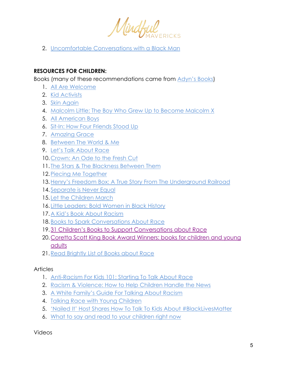Mindful

2. [Uncomfortable Conversations with a Black Man](https://www.facebook.com/watch/?v=272134207491609)

### **RESOURCES FOR CHILDREN:**

Books (many of these recommendations came from [Adyn's Books\)](https://www.aidynsbooks.com/blog/18-books-for-talking-to-your-children-about-race)

- 1. [All Are Welcome](https://amzn.to/2Y1lq3Q)
- 2. [Kid Activists](https://amzn.to/2Y8CYef)
- 3. [Skin Again](https://amzn.to/2AFbQvF)
- 4. [Malcolm Little: The Boy Who Grew Up to Become Malcolm X](https://amzn.to/2A91KTD)
- 5. [All American Boys](https://amzn.to/2AGhxJC)
- 6. [Sit-In: How Four Friends Stood Up](https://amzn.to/2UhOza1)
- 7. [Amazing Grace](https://amzn.to/2A4t45q)
- 8. [Between The World & Me](https://amzn.to/3czJno5)
- 9. [Let's Talk About Race](https://amzn.to/2AFg4Dx)
- 10[.Crown: An Ode to the Fresh Cut](https://amzn.to/3eWcOT2)
- 11. [The Stars & The Blackness Between Them](https://amzn.to/2AFf4zh)
- 12[.Piecing Me Together](https://amzn.to/2MAGhpw)
- 13[.Henry's Freedom Box: A True Story](https://amzn.to/2zZ8Yd4) From The Underground Railroad
- 14. Separate is Never Equal
- 15. [Let the Children March](https://amzn.to/2UfEo5C)
- 16. [Little Leaders: Bold Women in Black History](https://amzn.to/30cf1p7)
- 17[.A Kid's Book About Racism](https://akidsbookabout.com/collections/all-products/products/a-kids-book-about-racism)
- 18[.Books to Spark Conversations About Race](https://www.getepic.com/collection/15553297/books-to-spark-conversations-about-race-racism)
- 19[.31 Children's Books to Support Conversations about Race](https://www.embracerace.org/resources/26-childrens-books-to-support-conversations-on-race-racism-resistance)
- 20[.Coretta Scott King Book Award Winners: books for children and young](https://www.google.com/url?q=https://www.google.com/url?q%3Dhttps://www.commonsensemedia.org/lists/coretta-scott-king-book-award-winners%26amp;sa%3DD%26amp;ust%3D1591393824589000&sa=D&ust=1591393824637000&usg=AFQjCNG5kzliG6yvTy-G290_0m0HpIAeWQ)  [adults](https://www.google.com/url?q=https://www.google.com/url?q%3Dhttps://www.commonsensemedia.org/lists/coretta-scott-king-book-award-winners%26amp;sa%3DD%26amp;ust%3D1591393824589000&sa=D&ust=1591393824637000&usg=AFQjCNG5kzliG6yvTy-G290_0m0HpIAeWQ)
- 21[.Read Brightly List of Books about Race](https://www.readbrightly.com/how-to-talk-to-kids-about-race-books-and-resources-that-can-help/)

### Articles

- 1. [Anti-Racism For Kids 101: Starting To Talk About Race](https://booksforlittles.com/racial-diversity/?fbclid=IwAR2CN6SbzqWHtxnaCADEw4RfwXAws88GyeGSsgL59Os82MIq8noGju5INYs)
- 2. [Racism & Violence: How to Help Children Handle the News](https://childmind.org/article/racism-and-violence-how-to-help-kids-handle-the-news/?utm_source=newsletter&utm_medium=email&utm_content=we%E2%80%99re%20offering%20guidance%20and%20advice%20for%20helping%20your%20child%20process%20their%20feelings%20as%20well%20as%20ideas%20to%20help%20parents%20dig%20in%20to%20challenging%20questions%20without%20turning%20away&utm_campaign=Weekly-06-02-20)
- 3. [A White Family's Guide For Talking About Racism](https://educationwithanapron.com/2020/05/a-white-families-guide-for-talking-about-racism/)
- 4. [Talking Race with Young Children](https://www.npr.org/2019/04/24/716700866/talking-race-with-young-children)
- 5. ['Nailed It' Host Shares How To Talk To Kids About #BlackLivesMatter](https://www.scarymommy.com/nicole-byer-nailed-it-racism/)
- 6. [What to say and read to your children right now](https://www.kveller.com/what-to-say-and-read-to-your-children-right-now-about-race/)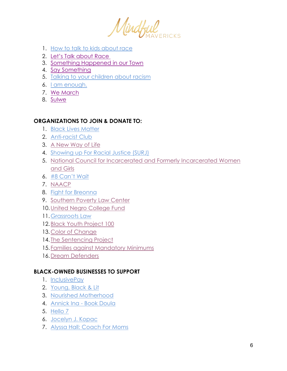Mindful

- 1. [How to talk to kids about race](https://www.youtube.com/watch?v=QNEKbVq_ou4)
- 2. [Let's Talk about Race](https://www.youtube.com/watch?v=zoDUJY9u9Jw)
- 3. [Something Happened in our Town](https://www.youtube.com/watch?v=lcOhOFGcWm8)
- 4. [Say Something](https://www.youtube.com/watch?v=d6M8MvThkm8)
- 5. [Talking to your children about racism](https://www.youtube.com/watch?v=nDgXMYhZClk)
- 6. [I am enough.](https://www.youtube.com/watch?v=T4jZxWiCxrY)
- 7. [We March](https://www.youtube.com/watch?v=Em2c6IZ64uc)
- 8. [Sulwe](https://www.youtube.com/watch?v=9m8JvdBZiSE)

## **ORGANIZATIONS TO JOIN & DONATE TO:**

- 1. [Black Lives Matter](https://blacklivesmatter.com/)
- 2. [Anti-racist Club](https://www.antiracism.club/)
- 3. [A New Way of Life](http://anewwayoflife.org/)
- 4. [Showing up For Racial Justice](https://www.showingupforracialjustice.org/) (SURJ)
- 5. [National Council for Incarcerated and Formerly Incarcerated Women](https://www.nationalcouncil.us/)  [and Girls](https://www.nationalcouncil.us/)
- 6. [#8 Can't Wait](https://8cantwait.org/)
- 7. [NAACP](http://www.naacp.org/)
- 8. Fight for Breonna
- 9. [Southern Poverty Law Center](https://www.splcenter.org/)
- 10[.United Negro College Fund](https://www.uncf.org/)
- 11[.Grassroots Law](https://www.grassrootslaw.org/)
- 12[.Black Youth Project 100](http://byp100.org/)
- 13[.Color of Change](https://www.colorofchange.org/)
- 14. [The Sentencing Project](http://www.sentencingproject.org/)
- 15. [Families against Mandatory Minimums](http://famm.org/)
- 16[.Dream Defenders](http://dreamdefenders.org/)

## **BLACK-OWNED BUSINESSES TO SUPPORT**

- 1. [InclusivePay](https://mindfulmavericksmagazine.com/issue-11-orleatha-smith-cbd-payment-processing-merchant-accounts/)
- 2. [Young, Black & Lit](https://www.youngblackandlit.org/)
- 3. [Nourished Motherhood](https://mindfulmavericksmagazine.com/issue-9-keya-williams-secrets-of-a-yoga-mama/)
- 4. [Annick Ina -](https://mindfulmavericksmagazine.com/issue-6-annick-ina-soul-superstar-stories-from-my-sober-heart-2/) Book Doula
- 5. [Hello 7](https://helloseven.co/)
- 6. [Jocelyn J. Kopac](http://www.jocelynjkopac.com/)
- 7. [Alyssa Hall: Coach For Moms](https://www.alyssahallcoaching.com/)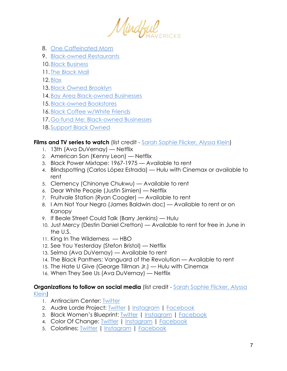Mindful

- 8. [One Caffeinated Mom](https://onecaffeinatedmom.com/home/)
- 9. [Black-owned Restaurants](https://duckduckgo.com/?t=ffsb&q=black-owned+restaurants&atb=v204-1&ia=web)
- 10. Black Business
- 11. [The Black Mall](https://theblackmall.com/)
- 12[.Blax](https://blax.directory/)
- 13[.Black Owned Brooklyn](https://www.blackownedbrooklyn.com/stories)
- 14[.Bay Area Black-owned Businesses](https://docs.google.com/spreadsheets/d/1hMZosjGfnYADWrrz5yYzUNmDJn9jdKZqVzv2bMGhsEU/edit#gid=0)
- 15[.Black-owned Bookstores](https://aalbc.com/bookstores/list.php)
- 16[.Black Coffee w/White Friends](https://linktr.ee/blackcoffeewithwhitefriends)
- 17[.Go-fund Me: Black-owned Businesses](https://www.gofundme.com/mvc.php?route=homepage_norma%2Fsearch&term=Black+owned+businesses)
- 18[.Support Black Owned](https://www.supportblackowned.com/)

### **Films and TV series to watch** (list credit - [Sarah Sophie Flicker, Alyssa Klein\)](https://docs.google.com/document/d/1BRlF2_zhNe86SGgHa6-VlBO-QgirITwCTugSfKie5Fs/mobilebasic)

- 1. 13th (Ava DuVernay) Netflix
- 2. American Son (Kenny Leon) Netflix
- 3. Black Power Mixtape: 1967-1975 Available to rent
- 4. Blindspotting (Carlos López Estrada) Hulu with Cinemax or available to rent
- 5. Clemency (Chinonye Chukwu) Available to rent
- 6. Dear White People (Justin Simien) Netflix
- 7. Fruitvale Station (Ryan Coogler) Available to rent
- 8. I Am Not Your Negro (James Baldwin doc) Available to rent or on Kanopy
- 9. If Beale Street Could Talk (Barry Jenkins) Hulu
- 10. Just Mercy (Destin Daniel Cretton) Available to rent for free in June in the U.S.
- 11. King In The Wilderness HBO
- 12. See You Yesterday (Stefon Bristol) Netflix
- 13. Selma (Ava DuVernay) Available to rent
- 14. The Black Panthers: Vanguard of the Revolution Available to rent
- 15. The Hate U Give (George Tillman Jr.) Hulu with Cinemax
- 16. When They See Us (Ava DuVernay) Netflix

#### **Organizations to follow on social media** (list credit - Sarah Sophie Flicker, Alyssa [Klein\)](https://docs.google.com/document/d/1BRlF2_zhNe86SGgHa6-VlBO-QgirITwCTugSfKie5Fs/mobilebasic)

- 1. Antiracism Center: [Twitter](https://www.google.com/url?q=https://www.google.com/url?q%3Dhttps://twitter.com/AntiracismCtr%26amp;sa%3DD%26amp;ust%3D1591393824610000&sa=D&ust=1591393824643000&usg=AFQjCNHdrE2C-l9wJfsZvbVIOUWsY5gE7Q)
- 2. Audre Lorde Project: [Twitter](https://www.google.com/url?q=https://www.google.com/url?q%3Dhttps://twitter.com/audrelorde%26amp;sa%3DD%26amp;ust%3D1591393824611000&sa=D&ust=1591393824643000&usg=AFQjCNGDuwGjz0FpQyE_bWt5PROCb4yxYQ) | [Instagram](https://www.google.com/url?q=https://www.google.com/url?q%3Dhttps://www.instagram.com/audrelordeproject/%26amp;sa%3DD%26amp;ust%3D1591393824611000&sa=D&ust=1591393824643000&usg=AFQjCNEa3ArSudqKWVpCJxriew4nFNIO4w) | [Facebook](https://www.google.com/url?q=https://www.google.com/url?q%3Dhttps://www.facebook.com/AudreLordeProject/%26amp;sa%3DD%26amp;ust%3D1591393824611000&sa=D&ust=1591393824643000&usg=AFQjCNEb46G9itsvQdoETD5MKiZ09l7nKA)
- 3. Black Women's Blueprint: [Twitter](https://www.google.com/url?q=https://www.google.com/url?q%3Dhttps://twitter.com/blackwomensbp%26amp;sa%3DD%26amp;ust%3D1591393824611000&sa=D&ust=1591393824644000&usg=AFQjCNFwPIMEBu6Uuye3lKsedLlYmGnn9g) | [Instagram](https://www.google.com/url?q=https://www.google.com/url?q%3Dhttps://www.instagram.com/blackwomensblueprint/%26amp;sa%3DD%26amp;ust%3D1591393824612000&sa=D&ust=1591393824644000&usg=AFQjCNGttl8kUZlB76OmZ6oxnAjXKH02dw) | [Facebook](https://www.google.com/url?q=https://www.google.com/url?q%3Dhttps://www.facebook.com/blackwomens.BWBNY/%26amp;sa%3DD%26amp;ust%3D1591393824612000&sa=D&ust=1591393824644000&usg=AFQjCNGjh0BIr1ODNfo07w44ksl9RkIF4Q)
- 4. Color Of Change: [Twitter](https://www.google.com/url?q=https://www.google.com/url?q%3Dhttp://twitter.com/colorofchange%26amp;sa%3DD%26amp;ust%3D1591393824612000&sa=D&ust=1591393824644000&usg=AFQjCNE2HZ_9Bg5bdeBOBQNCi1lEAYpkww) | [Instagram](https://www.google.com/url?q=https://www.google.com/url?q%3Dhttps://www.instagram.com/colorofchange/%26amp;sa%3DD%26amp;ust%3D1591393824612000&sa=D&ust=1591393824644000&usg=AFQjCNG1jH1hv06uhngsJBnakQqpkowbKw) | [Facebook](https://www.google.com/url?q=https://www.google.com/url?q%3Dhttps://www.facebook.com/colorofchange%26amp;sa%3DD%26amp;ust%3D1591393824612000&sa=D&ust=1591393824644000&usg=AFQjCNHJ6ckH58eknKn36zGTEVhaTPRC5A)
- 5. Colorlines: [Twitter](https://www.google.com/url?q=https://www.google.com/url?q%3Dhttps://twitter.com/Colorlines%26amp;sa%3DD%26amp;ust%3D1591393824613000&sa=D&ust=1591393824644000&usg=AFQjCNFmHMgnQyEr0b46mW5YcMOtHI4GYw) | [Instagram](https://www.google.com/url?q=https://www.google.com/url?q%3Dhttps://www.instagram.com/colorlinesnews/%26amp;sa%3DD%26amp;ust%3D1591393824613000&sa=D&ust=1591393824644000&usg=AFQjCNGtlqHfeHMxKcbhpGy_1JyH-AnZag) | [Facebook](https://www.google.com/url?q=https://www.google.com/url?q%3Dhttps://www.facebook.com/colorlines%26amp;sa%3DD%26amp;ust%3D1591393824613000&sa=D&ust=1591393824644000&usg=AFQjCNFHY1Tv1AyjmIyTYsGsUbZURgVrnw)